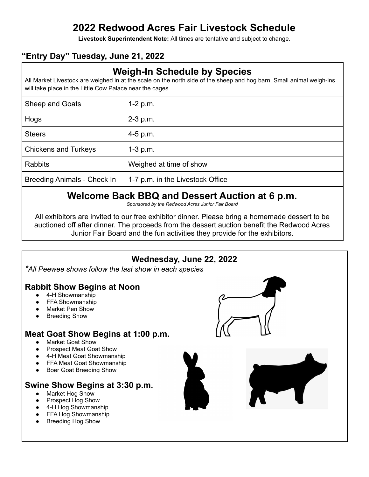# **2022 Redwood Acres Fair Livestock Schedule**

**Livestock Superintendent Note:** All times are tentative and subject to change.

## **"Entry Day" Tuesday, June 21, 2022**

# **Weigh-In Schedule by Species**

All Market Livestock are weighed in at the scale on the north side of the sheep and hog barn. Small animal weigh-ins will take place in the Little Cow Palace near the cages.

| Sheep and Goats                    | $1-2 p.m.$                       |
|------------------------------------|----------------------------------|
| Hogs                               | $2-3$ p.m.                       |
| <b>Steers</b>                      | $4-5$ p.m.                       |
| <b>Chickens and Turkeys</b>        | $1-3$ p.m.                       |
| <b>Rabbits</b>                     | Weighed at time of show          |
| <b>Breeding Animals - Check In</b> | 1-7 p.m. in the Livestock Office |

# **Welcome Back BBQ and Dessert Auction at 6 p.m.**

*Sponsored by the Redwood Acres Junior Fair Board*

All exhibitors are invited to our free exhibitor dinner. Please bring a homemade dessert to be auctioned off after dinner. The proceeds from the dessert auction benefit the Redwood Acres Junior Fair Board and the fun activities they provide for the exhibitors.



**Breeding Hog Show**